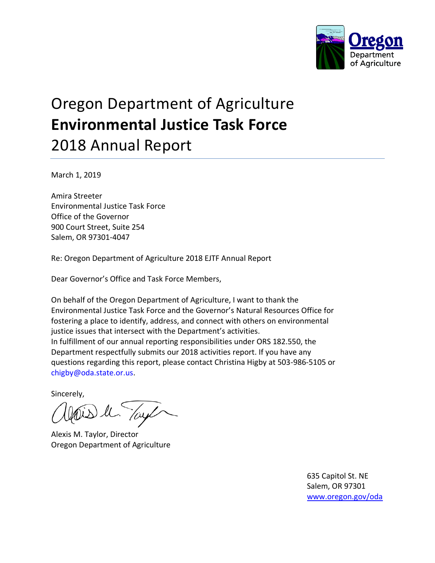

## Oregon Department of Agriculture **Environmental Justice Task Force**  2018 Annual Report

March 1, 2019

Amira Streeter Environmental Justice Task Force Office of the Governor 900 Court Street, Suite 254 Salem, OR 97301-4047

Re: Oregon Department of Agriculture 2018 EJTF Annual Report

Dear Governor's Office and Task Force Members,

On behalf of the Oregon Department of Agriculture, I want to thank the Environmental Justice Task Force and the Governor's Natural Resources Office for fostering a place to identify, address, and connect with others on environmental justice issues that intersect with the Department's activities. In fulfillment of our annual reporting responsibilities under ORS 182.550, the Department respectfully submits our 2018 activities report. If you have any questions regarding this report, please contact Christina Higby at 503-986-5105 or chigby@oda.state.or.us.

Sincerely,

is le Tay

Alexis M. Taylor, Director Oregon Department of Agriculture

635 Capitol St. NE Salem, OR 97301 [www.oregon.gov/oda](http://www.oregon.gov/oda)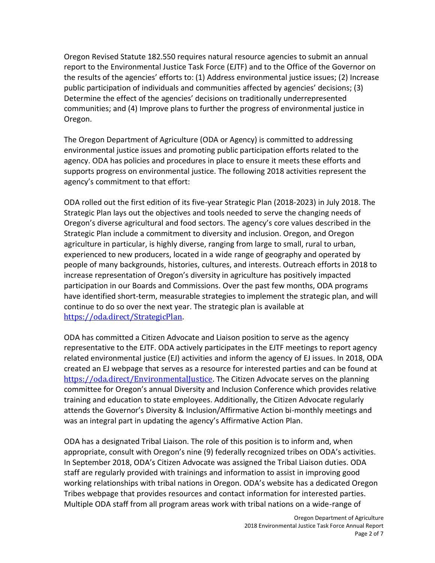Oregon Revised Statute 182.550 requires natural resource agencies to submit an annual report to the Environmental Justice Task Force (EJTF) and to the Office of the Governor on the results of the agencies' efforts to: (1) Address environmental justice issues; (2) Increase public participation of individuals and communities affected by agencies' decisions; (3) Determine the effect of the agencies' decisions on traditionally underrepresented communities; and (4) Improve plans to further the progress of environmental justice in Oregon.

The Oregon Department of Agriculture (ODA or Agency) is committed to addressing environmental justice issues and promoting public participation efforts related to the agency. ODA has policies and procedures in place to ensure it meets these efforts and supports progress on environmental justice. The following 2018 activities represent the agency's commitment to that effort:

ODA rolled out the first edition of its five-year Strategic Plan (2018-2023) in July 2018. The Strategic Plan lays out the objectives and tools needed to serve the changing needs of Oregon's diverse agricultural and food sectors. The agency's core values described in the Strategic Plan include a commitment to diversity and inclusion. Oregon, and Oregon agriculture in particular, is highly diverse, ranging from large to small, rural to urban, experienced to new producers, located in a wide range of geography and operated by people of many backgrounds, histories, cultures, and interests. Outreach efforts in 2018 to increase representation of Oregon's diversity in agriculture has positively impacted participation in our Boards and Commissions. Over the past few months, ODA programs have identified short-term, measurable strategies to implement the strategic plan, and will continue to do so over the next year. The strategic plan is available at [https://oda.direct/StrategicPlan.](https://oda.direct/StrategicPlan)

ODA has committed a Citizen Advocate and Liaison position to serve as the agency representative to the EJTF. ODA actively participates in the EJTF meetings to report agency related environmental justice (EJ) activities and inform the agency of EJ issues. In 2018, ODA created an EJ webpage that serves as a resource for interested parties and can be found at [https://oda.direct/EnvironmentalJustice.](https://oda.direct/EnvironmentalJustice) The Citizen Advocate serves on the planning committee for Oregon's annual Diversity and Inclusion Conference which provides relative training and education to state employees. Additionally, the Citizen Advocate regularly attends the Governor's Diversity & Inclusion/Affirmative Action bi-monthly meetings and was an integral part in updating the agency's Affirmative Action Plan.

ODA has a designated Tribal Liaison. The role of this position is to inform and, when appropriate, consult with Oregon's nine (9) federally recognized tribes on ODA's activities. In September 2018, ODA's Citizen Advocate was assigned the Tribal Liaison duties. ODA staff are regularly provided with trainings and information to assist in improving good working relationships with tribal nations in Oregon. ODA's website has a dedicated Oregon Tribes webpage that provides resources and contact information for interested parties. Multiple ODA staff from all program areas work with tribal nations on a wide-range of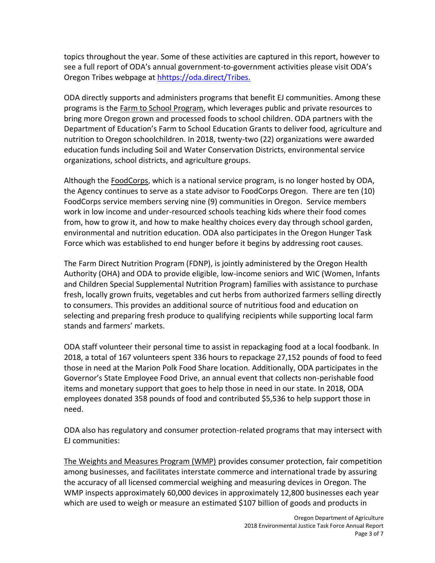topics throughout the year. Some of these activities are captured in this report, however to see a full report of ODA's annual government-to-government activities please visit ODA's Oregon Tribes webpage at [hhttps://oda.direct/Tribes.](https://www.oregon.gov/ODA/agriculture/Pages/Tribes.aspx)

ODA directly supports and administers programs that benefit EJ communities. Among these programs is the Farm to School Program, which leverages public and private resources to bring more Oregon grown and processed foods to school children. ODA partners with the Department of Education's Farm to School Education Grants to deliver food, agriculture and nutrition to Oregon schoolchildren. In 2018, twenty-two (22) organizations were awarded education funds including Soil and Water Conservation Districts, environmental service organizations, school districts, and agriculture groups.

Although the FoodCorps, which is a national service program, is no longer hosted by ODA, the Agency continues to serve as a state advisor to FoodCorps Oregon. There are ten (10) FoodCorps service members serving nine (9) communities in Oregon. Service members work in low income and under-resourced schools teaching kids where their food comes from, how to grow it, and how to make healthy choices every day through school garden, environmental and nutrition education. ODA also participates in the Oregon Hunger Task Force which was established to end hunger before it begins by addressing root causes.

The Farm Direct Nutrition Program (FDNP), is jointly administered by the Oregon Health Authority (OHA) and ODA to provide eligible, low-income seniors and WIC (Women, Infants and Children Special Supplemental Nutrition Program) families with assistance to purchase fresh, locally grown fruits, vegetables and cut herbs from authorized farmers selling directly to consumers. This provides an additional source of nutritious food and education on selecting and preparing fresh produce to qualifying recipients while supporting local farm stands and farmers' markets.

ODA staff volunteer their personal time to assist in repackaging food at a local foodbank. In 2018, a total of 167 volunteers spent 336 hours to repackage 27,152 pounds of food to feed those in need at the Marion Polk Food Share location. Additionally, ODA participates in the Governor's State Employee Food Drive, an annual event that collects non-perishable food items and monetary support that goes to help those in need in our state. In 2018, ODA employees donated 358 pounds of food and contributed \$5,536 to help support those in need.

ODA also has regulatory and consumer protection-related programs that may intersect with EJ communities:

The Weights and Measures Program (WMP) provides consumer protection, fair competition among businesses, and facilitates interstate commerce and international trade by assuring the accuracy of all licensed commercial weighing and measuring devices in Oregon. The WMP inspects approximately 60,000 devices in approximately 12,800 businesses each year which are used to weigh or measure an estimated \$107 billion of goods and products in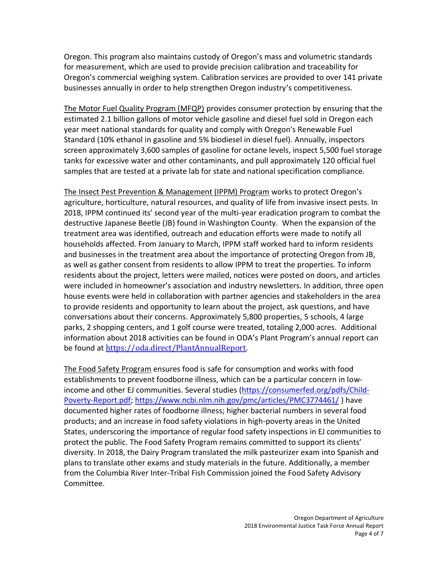Oregon. This program also maintains custody of Oregon's mass and volumetric standards for measurement, which are used to provide precision calibration and traceability for Oregon's commercial weighing system. Calibration services are provided to over 141 private businesses annually in order to help strengthen Oregon industry's competitiveness.

The Motor Fuel Quality Program (MFQP) provides consumer protection by ensuring that the estimated 2.1 billion gallons of motor vehicle gasoline and diesel fuel sold in Oregon each year meet national standards for quality and comply with Oregon's Renewable Fuel Standard (10% ethanol in gasoline and 5% biodiesel in diesel fuel). Annually, inspectors screen approximately 3,600 samples of gasoline for octane levels, inspect 5,500 fuel storage tanks for excessive water and other contaminants, and pull approximately 120 official fuel samples that are tested at a private lab for state and national specification compliance.

The Insect Pest Prevention & Management (IPPM) Program works to protect Oregon's agriculture, horticulture, natural resources, and quality of life from invasive insect pests. In 2018, IPPM continued its' second year of the multi-year eradication program to combat the destructive Japanese Beetle (JB) found in Washington County. When the expansion of the treatment area was identified, outreach and education efforts were made to notify all households affected. From January to March, IPPM staff worked hard to inform residents and businesses in the treatment area about the importance of protecting Oregon from JB, as well as gather consent from residents to allow IPPM to treat the properties. To inform residents about the project, letters were mailed, notices were posted on doors, and articles were included in homeowner's association and industry newsletters. In addition, three open house events were held in collaboration with partner agencies and stakeholders in the area to provide residents and opportunity to learn about the project, ask questions, and have conversations about their concerns. Approximately 5,800 properties, 5 schools, 4 large parks, 2 shopping centers, and 1 golf course were treated, totaling 2,000 acres. Additional information about 2018 activities can be found in ODA's Plant Program's annual report can be found at [https://oda.direct/PlantAnnualReport.](https://oda.direct/PlantAnnualReport)

The Food Safety Program ensures food is safe for consumption and works with food establishments to prevent foodborne illness, which can be a particular concern in lowincome and other EJ communities. Several studies [\(https://consumerfed.org/pdfs/Child-](https://consumerfed.org/pdfs/Child-Poverty-Report.pdf)[Poverty-Report.pdf;](https://consumerfed.org/pdfs/Child-Poverty-Report.pdf)<https://www.ncbi.nlm.nih.gov/pmc/articles/PMC3774461/> ) have documented higher rates of foodborne illness; higher bacterial numbers in several food products; and an increase in food safety violations in high-poverty areas in the United States, underscoring the importance of regular food safety inspections in EJ communities to protect the public. The Food Safety Program remains committed to support its clients' diversity. In 2018, the Dairy Program translated the milk pasteurizer exam into Spanish and plans to translate other exams and study materials in the future. Additionally, a member from the Columbia River Inter-Tribal Fish Commission joined the Food Safety Advisory Committee.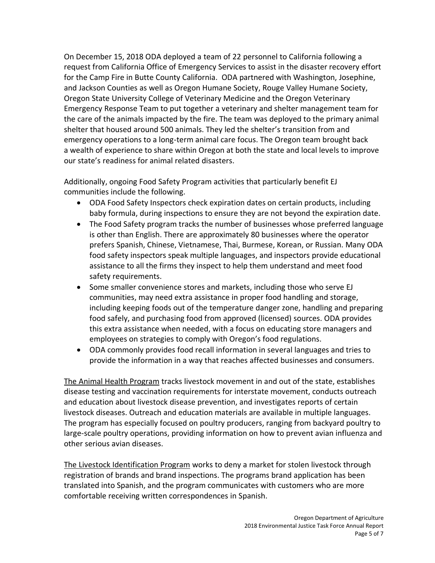On December 15, 2018 ODA deployed a team of 22 personnel to California following a request from California Office of Emergency Services to assist in the disaster recovery effort for the Camp Fire in Butte County California. ODA partnered with Washington, Josephine, and Jackson Counties as well as Oregon Humane Society, Rouge Valley Humane Society, Oregon State University College of Veterinary Medicine and the Oregon Veterinary Emergency Response Team to put together a veterinary and shelter management team for the care of the animals impacted by the fire. The team was deployed to the primary animal shelter that housed around 500 animals. They led the shelter's transition from and emergency operations to a long-term animal care focus. The Oregon team brought back a wealth of experience to share within Oregon at both the state and local levels to improve our state's readiness for animal related disasters.

Additionally, ongoing Food Safety Program activities that particularly benefit EJ communities include the following.

- ODA Food Safety Inspectors check expiration dates on certain products, including baby formula, during inspections to ensure they are not beyond the expiration date.
- The Food Safety program tracks the number of businesses whose preferred language is other than English. There are approximately 80 businesses where the operator prefers Spanish, Chinese, Vietnamese, Thai, Burmese, Korean, or Russian. Many ODA food safety inspectors speak multiple languages, and inspectors provide educational assistance to all the firms they inspect to help them understand and meet food safety requirements.
- Some smaller convenience stores and markets, including those who serve EJ communities, may need extra assistance in proper food handling and storage, including keeping foods out of the temperature danger zone, handling and preparing food safely, and purchasing food from approved (licensed) sources. ODA provides this extra assistance when needed, with a focus on educating store managers and employees on strategies to comply with Oregon's food regulations.
- ODA commonly provides food recall information in several languages and tries to provide the information in a way that reaches affected businesses and consumers.

The Animal Health Program tracks livestock movement in and out of the state, establishes disease testing and vaccination requirements for interstate movement, conducts outreach and education about livestock disease prevention, and investigates reports of certain livestock diseases. Outreach and education materials are available in multiple languages. The program has especially focused on poultry producers, ranging from backyard poultry to large-scale poultry operations, providing information on how to prevent avian influenza and other serious avian diseases.

The Livestock Identification Program works to deny a market for stolen livestock through registration of brands and brand inspections. The programs brand application has been translated into Spanish, and the program communicates with customers who are more comfortable receiving written correspondences in Spanish.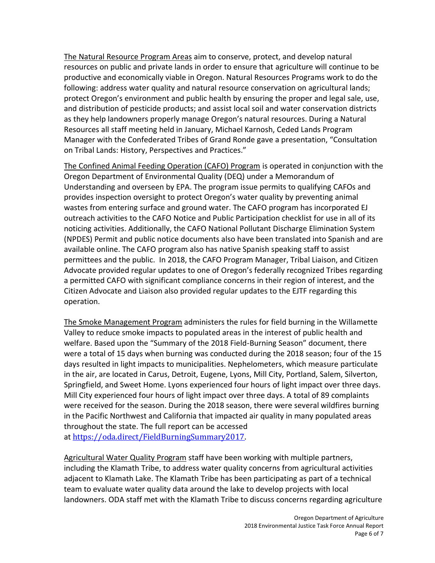The Natural Resource Program Areas aim to conserve, protect, and develop natural resources on public and private lands in order to ensure that agriculture will continue to be productive and economically viable in Oregon. Natural Resources Programs work to do the following: address water quality and natural resource conservation on agricultural lands; protect Oregon's environment and public health by ensuring the proper and legal sale, use, and distribution of pesticide products; and assist local soil and water conservation districts as they help landowners properly manage Oregon's natural resources. During a Natural Resources all staff meeting held in January, Michael Karnosh, Ceded Lands Program Manager with the Confederated Tribes of Grand Ronde gave a presentation, "Consultation on Tribal Lands: History, Perspectives and Practices."

The Confined Animal Feeding Operation (CAFO) Program is operated in conjunction with the Oregon Department of Environmental Quality (DEQ) under a Memorandum of Understanding and overseen by EPA. The program issue permits to qualifying CAFOs and provides inspection oversight to protect Oregon's water quality by preventing animal wastes from entering surface and ground water. The CAFO program has incorporated EJ outreach activities to the CAFO Notice and Public Participation checklist for use in all of its noticing activities. Additionally, the CAFO National Pollutant Discharge Elimination System (NPDES) Permit and public notice documents also have been translated into Spanish and are available online. The CAFO program also has native Spanish speaking staff to assist permittees and the public. In 2018, the CAFO Program Manager, Tribal Liaison, and Citizen Advocate provided regular updates to one of Oregon's federally recognized Tribes regarding a permitted CAFO with significant compliance concerns in their region of interest, and the Citizen Advocate and Liaison also provided regular updates to the EJTF regarding this operation.

The Smoke Management Program administers the rules for field burning in the Willamette Valley to reduce smoke impacts to populated areas in the interest of public health and welfare. Based upon the "Summary of the 2018 Field-Burning Season" document, there were a total of 15 days when burning was conducted during the 2018 season; four of the 15 days resulted in light impacts to municipalities. Nephelometers, which measure particulate in the air, are located in Carus, Detroit, Eugene, Lyons, Mill City, Portland, Salem, Silverton, Springfield, and Sweet Home. Lyons experienced four hours of light impact over three days. Mill City experienced four hours of light impact over three days. A total of 89 complaints were received for the season. During the 2018 season, there were several wildfires burning in the Pacific Northwest and California that impacted air quality in many populated areas throughout the state. The full report can be accessed at [https://oda.direct/FieldBurningSummary2017.](https://oda.direct/FieldBurningSummary2017)

Agricultural Water Quality Program staff have been working with multiple partners, including the Klamath Tribe, to address water quality concerns from agricultural activities adjacent to Klamath Lake. The Klamath Tribe has been participating as part of a technical team to evaluate water quality data around the lake to develop projects with local landowners. ODA staff met with the Klamath Tribe to discuss concerns regarding agriculture